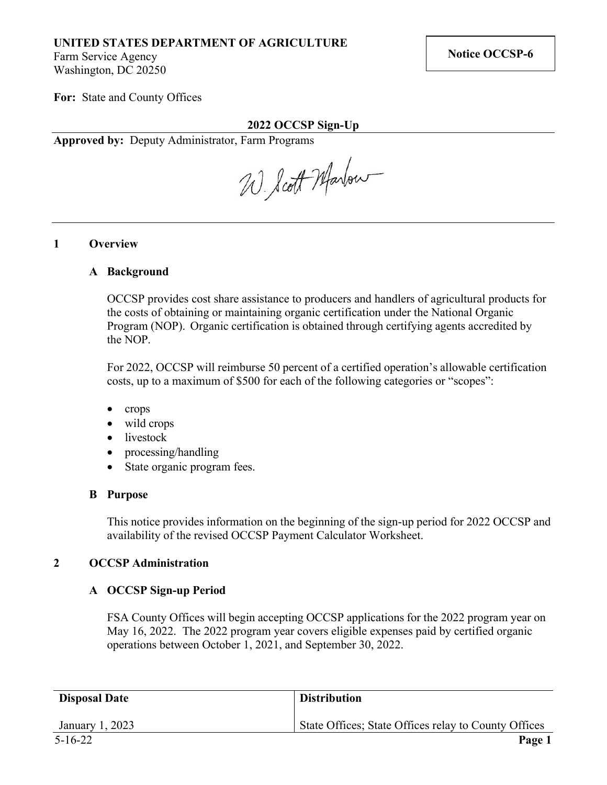# **UNITED STATES DEPARTMENT OF AGRICULTURE**

Farm Service Agency Washington, DC 20250

**For:** State and County Offices

### **2022 OCCSP Sign-Up**

**Approved by:** Deputy Administrator, Farm Programs

W. Scott Marbour

### **1 Overview**

### **A Background**

OCCSP provides cost share assistance to producers and handlers of agricultural products for the costs of obtaining or maintaining organic certification under the National Organic Program (NOP). Organic certification is obtained through certifying agents accredited by the NOP.

For 2022, OCCSP will reimburse 50 percent of a certified operation's allowable certification costs, up to a maximum of \$500 for each of the following categories or "scopes":

- crops
- wild crops
- livestock
- processing/handling
- State organic program fees.

### **B Purpose**

This notice provides information on the beginning of the sign-up period for 2022 OCCSP and availability of the revised OCCSP Payment Calculator Worksheet.

## **2 OCCSP Administration**

## **A OCCSP Sign-up Period**

FSA County Offices will begin accepting OCCSP applications for the 2022 program year on May 16, 2022. The 2022 program year covers eligible expenses paid by certified organic operations between October 1, 2021, and September 30, 2022.

| <b>Disposal Date</b> | <b>Distribution</b>                                  |
|----------------------|------------------------------------------------------|
| January 1, 2023      | State Offices; State Offices relay to County Offices |
| $5 - 16 - 22$        | Page 1                                               |